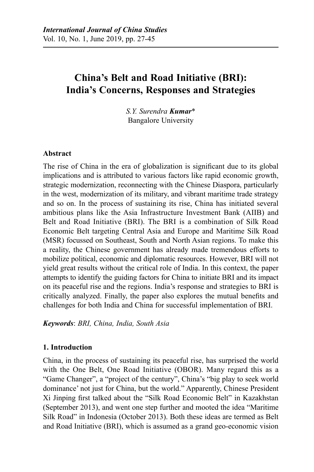# **China's Belt and Road Initiative (BRI): India's Concerns, Responses and Strategies**

*S.Y. Surendra Kumar*\* Bangalore University

#### **Abstract**

The rise of China in the era of globalization is significant due to its global implications and is attributed to various factors like rapid economic growth, strategic modernization, reconnecting with the Chinese Diaspora, particularly in the west, modernization of its military, and vibrant maritime trade strategy and so on. In the process of sustaining its rise, China has initiated several ambitious plans like the Asia Infrastructure Investment Bank (AIIB) and Belt and Road Initiative (BRI). The BRI is a combination of Silk Road Economic Belt targeting Central Asia and Europe and Maritime Silk Road (MSR) focussed on Southeast, South and North Asian regions. To make this a reality, the Chinese government has already made tremendous efforts to mobilize political, economic and diplomatic resources. However, BRI will not yield great results without the critical role of India. In this context, the paper attempts to identify the guiding factors for China to initiate BRI and its impact on its peaceful rise and the regions. India's response and strategies to BRI is critically analyzed. Finally, the paper also explores the mutual benefits and challenges for both India and China for successful implementation of BRI.

*Keywords*: *BRI, China, India, South Asia*

#### **1. Introduction**

China, in the process of sustaining its peaceful rise, has surprised the world with the One Belt, One Road Initiative (OBOR). Many regard this as a "Game Changer", a "project of the century", China's "big play to seek world dominance' not just for China, but the world." Apparently, Chinese President Xi Jinping first talked about the "Silk Road Economic Belt" in Kazakhstan (September 2013), and went one step further and mooted the idea "Maritime Silk Road" in Indonesia (October 2013). Both these ideas are termed as Belt and Road Initiative (BRI), which is assumed as a grand geo-economic vision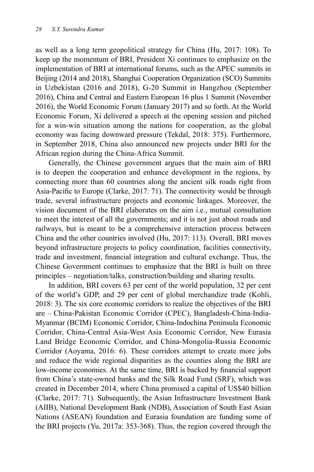as well as a long term geopolitical strategy for China (Hu, 2017: 108). To keep up the momentum of BRI, President Xi continues to emphasize on the implementation of BRI at international forums, such as the APEC summits in Beijing (2014 and 2018), Shanghai Cooperation Organization (SCO) Summits in Uzbekistan (2016 and 2018), G-20 Summit in Hangzhou (September 2016), China and Central and Eastern European 16 plus 1 Summit (November 2016), the World Economic Forum (January 2017) and so forth. At the World Economic Forum, Xi delivered a speech at the opening session and pitched for a win-win situation among the nations for cooperation, as the global economy was facing downward pressure (Tekdal, 2018: 375). Furthermore, in September 2018, China also announced new projects under BRI for the African region during the China-Africa Summit.

Generally, the Chinese government argues that the main aim of BRI is to deepen the cooperation and enhance development in the regions, by connecting more than 60 countries along the ancient silk roads right from Asia-Pacific to Europe (Clarke, 2017: 71). The connectivity would be through trade, several infrastructure projects and economic linkages. Moreover, the vision document of the BRI elaborates on the aim i.e., mutual consultation to meet the interest of all the governments; and it is not just about roads and railways, but is meant to be a comprehensive interaction process between China and the other countries involved (Hu, 2017: 113). Overall, BRI moves beyond infrastructure projects to policy coordination, facilities connectivity, trade and investment, financial integration and cultural exchange. Thus, the Chinese Government continues to emphasize that the BRI is built on three principles – negotiation/talks, construction/building and sharing results.

In addition, BRI covers 63 per cent of the world population, 32 per cent of the world's GDP, and 29 per cent of global merchandize trade (Kohli, 2018: 3). The six core economic corridors to realize the objectives of the BRI are – China-Pakistan Economic Corridor (CPEC), Bangladesh-China-India-Myanmar (BCIM) Economic Corridor, China-Indochina Peninsula Economic Corridor, China-Central Asia-West Asia Economic Corridor, New Eurasia Land Bridge Economic Corridor, and China-Mongolia-Russia Economic Corridor (Aoyama, 2016: 6). These corridors attempt to create more jobs and reduce the wide regional disparities as the counties along the BRI are low-income economies. At the same time, BRI is backed by financial support from China's state-owned banks and the Silk Road Fund (SRF), which was created in December 2014, where China promised a capital of US\$40 billion (Clarke, 2017: 71). Subsequently, the Asian Infrastructure Investment Bank (AIIB), National Development Bank (NDB), Association of South East Asian Nations (ASEAN) foundation and Eurasia foundation are funding some of the BRI projects (Yu, 2017a: 353-368). Thus, the region covered through the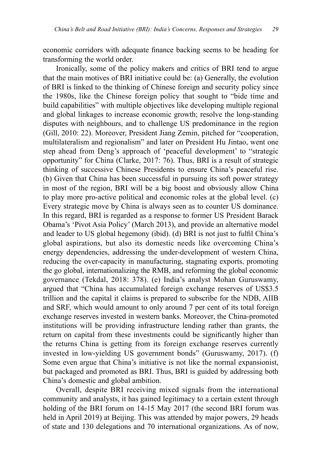economic corridors with adequate finance backing seems to be heading for transforming the world order.

Ironically, some of the policy makers and critics of BRI tend to argue that the main motives of BRI initiative could be: (a) Generally, the evolution of BRI is linked to the thinking of Chinese foreign and security policy since the 1980s, like the Chinese foreign policy that sought to "bide time and build capabilities" with multiple objectives like developing multiple regional and global linkages to increase economic growth; resolve the long-standing disputes with neighbours, and to challenge US predominance in the region (Gill, 2010: 22). Moreover, President Jiang Zemin, pitched for "cooperation, multilateralism and regionalism" and later on President Hu Jintao, went one step ahead from Deng's approach of 'peaceful development' to "strategic opportunity" for China (Clarke, 2017: 76). Thus, BRI is a result of strategic thinking of successive Chinese Presidents to ensure China's peaceful rise. (b) Given that China has been successful in pursuing its soft power strategy in most of the region, BRI will be a big boost and obviously allow China to play more pro-active political and economic roles at the global level. (c) Every strategic move by China is always seen as to counter US dominance. In this regard, BRI is regarded as a response to former US President Barack Obama's 'Pivot Asia Policy' (March 2013), and provide an alternative model and leader to US global hegemony (ibid). (d) BRI is not just to fulfil China's global aspirations, but also its domestic needs like overcoming China's energy dependencies, addressing the under-development of western China, reducing the over-capacity in manufacturing, stagnating exports, promoting the go global, internationalizing the RMB, and reforming the global economic governance (Tekdal, 2018: 378). (e) India's analyst Mohan Guruswamy, argued that "China has accumulated foreign exchange reserves of US\$3.5 trillion and the capital it claims is prepared to subscribe for the NDB, AIIB and SRF, which would amount to only around 7 per cent of its total foreign exchange reserves invested in western banks. Moreover, the China-promoted institutions will be providing infrastructure lending rather than grants, the return on capital from these investments could be significantly higher than the returns China is getting from its foreign exchange reserves currently invested in low-yielding US government bonds" (Guruswamy, 2017). (f) Some even argue that China's initiative is not like the normal expansionist, but packaged and promoted as BRI. Thus, BRI is guided by addressing both China's domestic and global ambition.

Overall, despite BRI receiving mixed signals from the international community and analysts, it has gained legitimacy to a certain extent through holding of the BRI forum on 14-15 May 2017 (the second BRI forum was held in April 2019) at Beijing. This was attended by major powers, 29 heads of state and 130 delegations and 70 international organizations. As of now,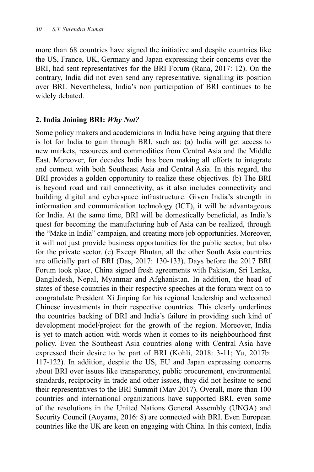more than 68 countries have signed the initiative and despite countries like the US, France, UK, Germany and Japan expressing their concerns over the BRI, had sent representatives for the BRI Forum (Rana, 2017: 12). On the contrary, India did not even send any representative, signalling its position over BRI. Nevertheless, India's non participation of BRI continues to be widely debated.

#### **2. India Joining BRI:** *Why Not?*

Some policy makers and academicians in India have being arguing that there is lot for India to gain through BRI, such as: (a) India will get access to new markets, resources and commodities from Central Asia and the Middle East. Moreover, for decades India has been making all efforts to integrate and connect with both Southeast Asia and Central Asia. In this regard, the BRI provides a golden opportunity to realize these objectives. (b) The BRI is beyond road and rail connectivity, as it also includes connectivity and building digital and cyberspace infrastructure. Given India's strength in information and communication technology (ICT), it will be advantageous for India. At the same time, BRI will be domestically beneficial, as India's quest for becoming the manufacturing hub of Asia can be realized, through the "Make in India" campaign, and creating more job opportunities. Moreover, it will not just provide business opportunities for the public sector, but also for the private sector. (c) Except Bhutan, all the other South Asia countries are officially part of BRI (Das, 2017: 130-133). Days before the 2017 BRI Forum took place, China signed fresh agreements with Pakistan, Sri Lanka, Bangladesh, Nepal, Myanmar and Afghanistan. In addition, the head of states of these countries in their respective speeches at the forum went on to congratulate President Xi Jinping for his regional leadership and welcomed Chinese investments in their respective countries. This clearly underlines the countries backing of BRI and India's failure in providing such kind of development model/project for the growth of the region. Moreover, India is yet to match action with words when it comes to its neighbourhood first policy. Even the Southeast Asia countries along with Central Asia have expressed their desire to be part of BRI (Kohli, 2018: 3-11; Yu, 2017b: 117-122). In addition, despite the US, EU and Japan expressing concerns about BRI over issues like transparency, public procurement, environmental standards, reciprocity in trade and other issues, they did not hesitate to send their representatives to the BRI Summit (May 2017). Overall, more than 100 countries and international organizations have supported BRI, even some of the resolutions in the United Nations General Assembly (UNGA) and Security Council (Aoyama, 2016: 8) are connected with BRI. Even European countries like the UK are keen on engaging with China. In this context, India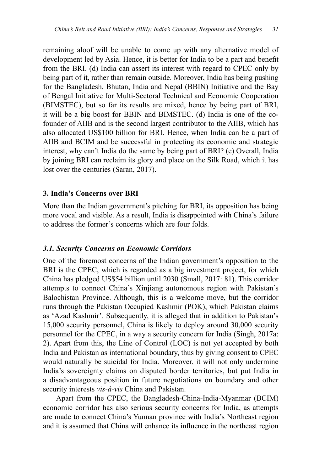remaining aloof will be unable to come up with any alternative model of development led by Asia. Hence, it is better for India to be a part and benefit from the BRI. (d) India can assert its interest with regard to CPEC only by being part of it, rather than remain outside. Moreover, India has being pushing for the Bangladesh, Bhutan, India and Nepal (BBIN) Initiative and the Bay of Bengal Initiative for Multi-Sectoral Technical and Economic Cooperation (BIMSTEC), but so far its results are mixed, hence by being part of BRI, it will be a big boost for BBIN and BIMSTEC. (d) India is one of the cofounder of AIIB and is the second largest contributor to the AIIB, which has also allocated US\$100 billion for BRI. Hence, when India can be a part of AIIB and BCIM and be successful in protecting its economic and strategic interest, why can't India do the same by being part of BRI? (e) Overall, India by joining BRI can reclaim its glory and place on the Silk Road, which it has lost over the centuries (Saran, 2017).

#### **3. India's Concerns over BRI**

More than the Indian government's pitching for BRI, its opposition has being more vocal and visible. As a result, India is disappointed with China's failure to address the former's concerns which are four folds.

#### *3.1. Security Concerns on Economic Corridors*

One of the foremost concerns of the Indian government's opposition to the BRI is the CPEC, which is regarded as a big investment project, for which China has pledged US\$54 billion until 2030 (Small, 2017: 81). This corridor attempts to connect China's Xinjiang autonomous region with Pakistan's Balochistan Province. Although, this is a welcome move, but the corridor runs through the Pakistan Occupied Kashmir (POK), which Pakistan claims as 'Azad Kashmir'. Subsequently, it is alleged that in addition to Pakistan's 15,000 security personnel, China is likely to deploy around 30,000 security personnel for the CPEC, in a way a security concern for India (Singh, 2017a: 2). Apart from this, the Line of Control (LOC) is not yet accepted by both India and Pakistan as international boundary, thus by giving consent to CPEC would naturally be suicidal for India. Moreover, it will not only undermine India's sovereignty claims on disputed border territories, but put India in a disadvantageous position in future negotiations on boundary and other security interests *vis-à-vis* China and Pakistan.

Apart from the CPEC, the Bangladesh-China-India-Myanmar (BCIM) economic corridor has also serious security concerns for India, as attempts are made to connect China's Yunnan province with India's Northeast region and it is assumed that China will enhance its influence in the northeast region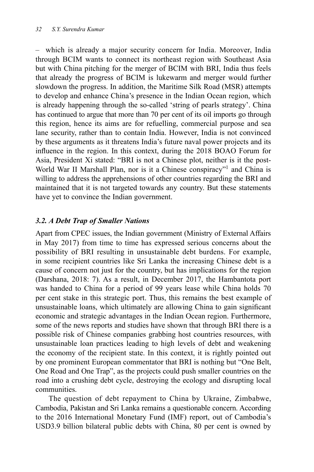– which is already a major security concern for India. Moreover, India through BCIM wants to connect its northeast region with Southeast Asia but with China pitching for the merger of BCIM with BRI, India thus feels that already the progress of BCIM is lukewarm and merger would further slowdown the progress. In addition, the Maritime Silk Road (MSR) attempts to develop and enhance China's presence in the Indian Ocean region, which is already happening through the so-called 'string of pearls strategy'. China has continued to argue that more than 70 per cent of its oil imports go through this region, hence its aims are for refuelling, commercial purpose and sea lane security, rather than to contain India. However, India is not convinced by these arguments as it threatens India's future naval power projects and its influence in the region. In this context, during the 2018 BOAO Forum for Asia, President Xi stated: "BRI is not a Chinese plot, neither is it the post-World War II Marshall Plan, nor is it a Chinese conspiracy"<sup>1</sup> and China is willing to address the apprehensions of other countries regarding the BRI and maintained that it is not targeted towards any country. But these statements have yet to convince the Indian government.

## *3.2. A Debt Trap of Smaller Nations*

Apart from CPEC issues, the Indian government (Ministry of External Affairs in May 2017) from time to time has expressed serious concerns about the possibility of BRI resulting in unsustainable debt burdens. For example, in some recipient countries like Sri Lanka the increasing Chinese debt is a cause of concern not just for the country, but has implications for the region (Darshana, 2018: 7). As a result, in December 2017, the Hambantota port was handed to China for a period of 99 years lease while China holds 70 per cent stake in this strategic port. Thus, this remains the best example of unsustainable loans, which ultimately are allowing China to gain significant economic and strategic advantages in the Indian Ocean region. Furthermore, some of the news reports and studies have shown that through BRI there is a possible risk of Chinese companies grabbing host countries resources, with unsustainable loan practices leading to high levels of debt and weakening the economy of the recipient state. In this context, it is rightly pointed out by one prominent European commentator that BRI is nothing but "One Belt, One Road and One Trap", as the projects could push smaller countries on the road into a crushing debt cycle, destroying the ecology and disrupting local communities.

The question of debt repayment to China by Ukraine, Zimbabwe, Cambodia, Pakistan and Sri Lanka remains a questionable concern. According to the 2016 International Monetary Fund (IMF) report, out of Cambodia's USD3.9 billion bilateral public debts with China, 80 per cent is owned by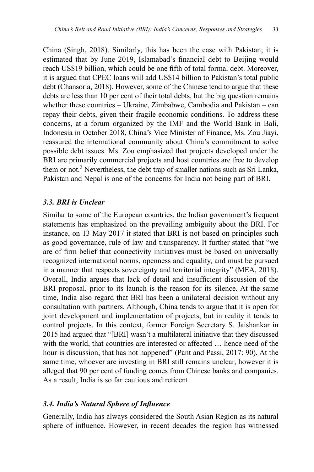China (Singh, 2018). Similarly, this has been the case with Pakistan; it is estimated that by June 2019, Islamabad's financial debt to Beijing would reach US\$19 billion, which could be one fifth of total formal debt. Moreover, it is argued that CPEC loans will add US\$14 billion to Pakistan's total public debt (Chansoria, 2018). However, some of the Chinese tend to argue that these debts are less than 10 per cent of their total debts, but the big question remains whether these countries – Ukraine, Zimbabwe, Cambodia and Pakistan – can repay their debts, given their fragile economic conditions. To address these concerns, at a forum organized by the IMF and the World Bank in Bali, Indonesia in October 2018, China's Vice Minister of Finance, Ms. Zou Jiayi, reassured the international community about China's commitment to solve possible debt issues. Ms. Zou emphasized that projects developed under the BRI are primarily commercial projects and host countries are free to develop them or not.<sup>2</sup> Nevertheless, the debt trap of smaller nations such as Sri Lanka, Pakistan and Nepal is one of the concerns for India not being part of BRI.

## *3.3. BRI is Unclear*

Similar to some of the European countries, the Indian government's frequent statements has emphasized on the prevailing ambiguity about the BRI. For instance, on 13 May 2017 it stated that BRI is not based on principles such as good governance, rule of law and transparency. It further stated that "we are of firm belief that connectivity initiatives must be based on universally recognized international norms, openness and equality, and must be pursued in a manner that respects sovereignty and territorial integrity" (MEA, 2018). Overall, India argues that lack of detail and insufficient discussion of the BRI proposal, prior to its launch is the reason for its silence. At the same time, India also regard that BRI has been a unilateral decision without any consultation with partners. Although, China tends to argue that it is open for joint development and implementation of projects, but in reality it tends to control projects. In this context, former Foreign Secretary S. Jaishankar in 2015 had argued that "[BRI] wasn't a multilateral initiative that they discussed with the world, that countries are interested or affected … hence need of the hour is discussion, that has not happened" (Pant and Passi, 2017: 90). At the same time, whoever are investing in BRI still remains unclear, however it is alleged that 90 per cent of funding comes from Chinese banks and companies. As a result, India is so far cautious and reticent.

## *3.4. India's Natural Sphere of Influence*

Generally, India has always considered the South Asian Region as its natural sphere of influence. However, in recent decades the region has witnessed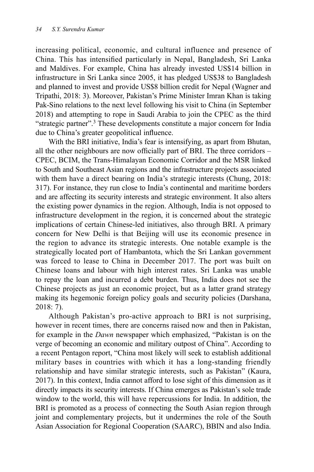increasing political, economic, and cultural influence and presence of China. This has intensified particularly in Nepal, Bangladesh, Sri Lanka and Maldives. For example, China has already invested US\$14 billion in infrastructure in Sri Lanka since 2005, it has pledged US\$38 to Bangladesh and planned to invest and provide US\$8 billion credit for Nepal (Wagner and Tripathi, 2018: 3). Moreover, Pakistan's Prime Minister Imran Khan is taking Pak-Sino relations to the next level following his visit to China (in September 2018) and attempting to rope in Saudi Arabia to join the CPEC as the third "strategic partner".3 These developments constitute a major concern for India due to China's greater geopolitical influence.

With the BRI initiative, India's fear is intensifying, as apart from Bhutan, all the other neighbours are now officially part of BRI. The three corridors – CPEC, BCIM, the Trans-Himalayan Economic Corridor and the MSR linked to South and Southeast Asian regions and the infrastructure projects associated with them have a direct bearing on India's strategic interests (Chung, 2018: 317). For instance, they run close to India's continental and maritime borders and are affecting its security interests and strategic environment. It also alters the existing power dynamics in the region. Although, India is not opposed to infrastructure development in the region, it is concerned about the strategic implications of certain Chinese-led initiatives, also through BRI. A primary concern for New Delhi is that Beijing will use its economic presence in the region to advance its strategic interests. One notable example is the strategically located port of Hambantota, which the Sri Lankan government was forced to lease to China in December 2017. The port was built on Chinese loans and labour with high interest rates. Sri Lanka was unable to repay the loan and incurred a debt burden. Thus, India does not see the Chinese projects as just an economic project, but as a latter grand strategy making its hegemonic foreign policy goals and security policies (Darshana, 2018: 7).

Although Pakistan's pro-active approach to BRI is not surprising, however in recent times, there are concerns raised now and then in Pakistan, for example in the *Dawn* newspaper which emphasized, "Pakistan is on the verge of becoming an economic and military outpost of China". According to a recent Pentagon report, "China most likely will seek to establish additional military bases in countries with which it has a long-standing friendly relationship and have similar strategic interests, such as Pakistan" (Kaura, 2017). In this context, India cannot afford to lose sight of this dimension as it directly impacts its security interests. If China emerges as Pakistan's sole trade window to the world, this will have repercussions for India. In addition, the BRI is promoted as a process of connecting the South Asian region through joint and complementary projects, but it undermines the role of the South Asian Association for Regional Cooperation (SAARC), BBIN and also India.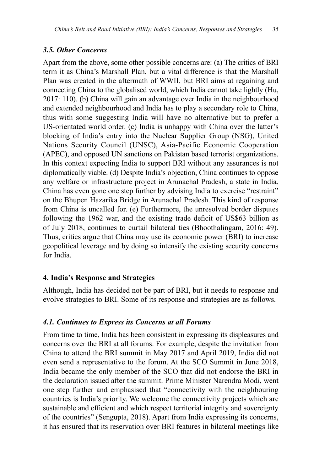#### *3.5. Other Concerns*

Apart from the above, some other possible concerns are: (a) The critics of BRI term it as China's Marshall Plan, but a vital difference is that the Marshall Plan was created in the aftermath of WWII, but BRI aims at regaining and connecting China to the globalised world, which India cannot take lightly (Hu, 2017: 110). (b) China will gain an advantage over India in the neighbourhood and extended neighbourhood and India has to play a secondary role to China, thus with some suggesting India will have no alternative but to prefer a US-orientated world order. (c) India is unhappy with China over the latter's blocking of India's entry into the Nuclear Supplier Group (NSG), United Nations Security Council (UNSC), Asia-Pacific Economic Cooperation (APEC), and opposed UN sanctions on Pakistan based terrorist organizations. In this context expecting India to support BRI without any assurances is not diplomatically viable. (d) Despite India's objection, China continues to oppose any welfare or infrastructure project in Arunachal Pradesh, a state in India. China has even gone one step further by advising India to exercise "restraint" on the Bhupen Hazarika Bridge in Arunachal Pradesh. This kind of response from China is uncalled for. (e) Furthermore, the unresolved border disputes following the 1962 war, and the existing trade deficit of US\$63 billion as of July 2018, continues to curtail bilateral ties (Bhoothalingam, 2016: 49). Thus, critics argue that China may use its economic power (BRI) to increase geopolitical leverage and by doing so intensify the existing security concerns for India.

#### **4. India's Response and Strategies**

Although, India has decided not be part of BRI, but it needs to response and evolve strategies to BRI. Some of its response and strategies are as follows.

#### *4.1. Continues to Express its Concerns at all Forums*

From time to time, India has been consistent in expressing its displeasures and concerns over the BRI at all forums. For example, despite the invitation from China to attend the BRI summit in May 2017 and April 2019, India did not even send a representative to the forum. At the SCO Summit in June 2018, India became the only member of the SCO that did not endorse the BRI in the declaration issued after the summit. Prime Minister Narendra Modi, went one step further and emphasised that "connectivity with the neighbouring countries is India's priority. We welcome the connectivity projects which are sustainable and efficient and which respect territorial integrity and sovereignty of the countries" (Sengupta, 2018). Apart from India expressing its concerns, it has ensured that its reservation over BRI features in bilateral meetings like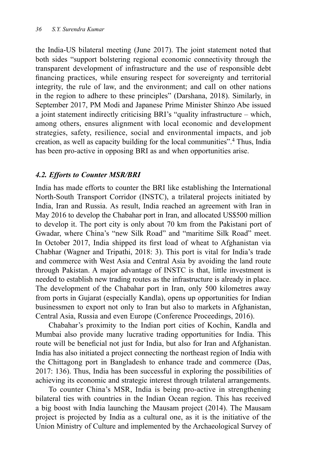the India-US bilateral meeting (June 2017). The joint statement noted that both sides "support bolstering regional economic connectivity through the transparent development of infrastructure and the use of responsible debt financing practices, while ensuring respect for sovereignty and territorial integrity, the rule of law, and the environment; and call on other nations in the region to adhere to these principles" (Darshana, 2018). Similarly, in September 2017, PM Modi and Japanese Prime Minister Shinzo Abe issued a joint statement indirectly criticising BRI's "quality infrastructure – which, among others, ensures alignment with local economic and development strategies, safety, resilience, social and environmental impacts, and job creation, as well as capacity building for the local communities".<sup>4</sup> Thus, India has been pro-active in opposing BRI as and when opportunities arise.

## *4.2. Efforts to Counter MSR/BRI*

India has made efforts to counter the BRI like establishing the International North-South Transport Corridor (INSTC), a trilateral projects initiated by India, Iran and Russia. As result, India reached an agreement with Iran in May 2016 to develop the Chabahar port in Iran, and allocated US\$500 million to develop it. The port city is only about 70 km from the Pakistani port of Gwadar, where China's "new Silk Road" and "maritime Silk Road" meet. In October 2017, India shipped its first load of wheat to Afghanistan via Chabhar (Wagner and Tripathi, 2018: 3). This port is vital for India's trade and commerce with West Asia and Central Asia by avoiding the land route through Pakistan. A major advantage of INSTC is that, little investment is needed to establish new trading routes as the infrastructure is already in place. The development of the Chabahar port in Iran, only 500 kilometres away from ports in Gujarat (especially Kandla), opens up opportunities for Indian businessmen to export not only to Iran but also to markets in Afghanistan, Central Asia, Russia and even Europe (Conference Proceedings, 2016).

Chabahar's proximity to the Indian port cities of Kochin, Kandla and Mumbai also provide many lucrative trading opportunities for India. This route will be beneficial not just for India, but also for Iran and Afghanistan. India has also initiated a project connecting the northeast region of India with the Chittagong port in Bangladesh to enhance trade and commerce (Das, 2017: 136). Thus, India has been successful in exploring the possibilities of achieving its economic and strategic interest through trilateral arrangements.

To counter China's MSR, India is being pro-active in strengthening bilateral ties with countries in the Indian Ocean region. This has received a big boost with India launching the Mausam project (2014). The Mausam project is projected by India as a cultural one, as it is the initiative of the Union Ministry of Culture and implemented by the Archaeological Survey of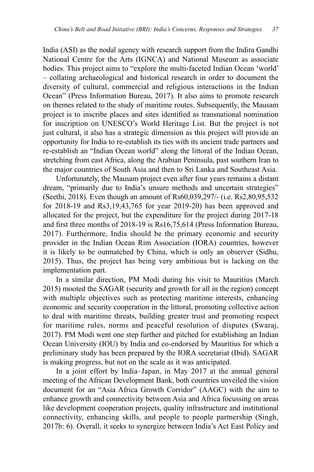India (ASI) as the nodal agency with research support from the Indira Gandhi National Centre for the Arts (IGNCA) and National Museum as associate bodies. This project aims to "explore the multi-faceted Indian Ocean 'world' – collating archaeological and historical research in order to document the diversity of cultural, commercial and religious interactions in the Indian Ocean" (Press Information Bureau, 2017). It also aims to promote research on themes related to the study of maritime routes. Subsequently, the Mausam project is to inscribe places and sites identified as transnational nomination for inscription on UNESCO's World Heritage List. But the project is not just cultural, it also has a strategic dimension as this project will provide an opportunity for India to re-establish its ties with its ancient trade partners and re-establish an "Indian Ocean world" along the littoral of the Indian Ocean, stretching from east Africa, along the Arabian Peninsula, past southern Iran to the major countries of South Asia and then to Sri Lanka and Southeast Asia.

Unfortunately, the Mausam project even after four years remains a distant dream, "primarily due to India's unsure methods and uncertain strategies" (Seethi, 2018). Even though an amount of Rs60,039,297/- (i.e. Rs2,80,95,532 for 2018-19 and Rs3,19,43,765 for year 2019-20) has been approved and allocated for the project, but the expenditure for the project during 2017-18 and first three months of 2018-19 is Rs16,75,614 (Press Information Bureau, 2017). Furthermore, India should be the primary economic and security provider in the Indian Ocean Rim Association (IORA) countries, however it is likely to be outmatched by China, which is only an observer (Sidhu, 2015). Thus, the project has being very ambitious but is lacking on the implementation part.

In a similar direction, PM Modi during his visit to Mauritius (March 2015) mooted the SAGAR (security and growth for all in the region) concept with multiple objectives such as protecting maritime interests, enhancing economic and security cooperation in the littoral, promoting collective action to deal with maritime threats, building greater trust and promoting respect for maritime rules, norms and peaceful resolution of disputes (Swaraj, 2017). PM Modi went one step further and pitched for establishing an Indian Ocean University (IOU) by India and co-endorsed by Mauritius for which a preliminary study has been prepared by the IORA secretariat (Ibid). SAGAR is making progress, but not on the scale as it was anticipated.

In a joint effort by India–Japan, in May 2017 at the annual general meeting of the African Development Bank, both countries unveiled the vision document for an "Asia Africa Growth Corridor" (AAGC) with the aim to enhance growth and connectivity between Asia and Africa focussing on areas like development cooperation projects, quality infrastructure and institutional connectivity, enhancing skills, and people to people partnership (Singh, 2017b: 6). Overall, it seeks to synergize between India's Act East Policy and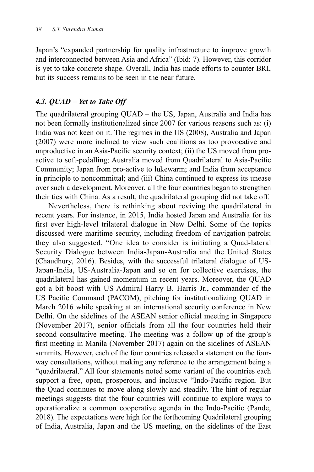Japan's "expanded partnership for quality infrastructure to improve growth and interconnected between Asia and Africa" (Ibid: 7). However, this corridor is yet to take concrete shape. Overall, India has made efforts to counter BRI, but its success remains to be seen in the near future.

## *4.3. QUAD – Yet to Take Off*

The quadrilateral grouping QUAD – the US, Japan, Australia and India has not been formally institutionalized since 2007 for various reasons such as: (i) India was not keen on it. The regimes in the US (2008), Australia and Japan (2007) were more inclined to view such coalitions as too provocative and unproductive in an Asia-Pacific security context; (ii) the US moved from proactive to soft-pedalling; Australia moved from Quadrilateral to Asia-Pacific Community; Japan from pro-active to lukewarm; and India from acceptance in principle to noncommittal; and (iii) China continued to express its unease over such a development. Moreover, all the four countries began to strengthen their ties with China. As a result, the quadrilateral grouping did not take off.

Nevertheless, there is rethinking about reviving the quadrilateral in recent years. For instance, in 2015, India hosted Japan and Australia for its first ever high-level trilateral dialogue in New Delhi. Some of the topics discussed were maritime security, including freedom of navigation patrols; they also suggested, "One idea to consider is initiating a Quad-lateral Security Dialogue between India-Japan-Australia and the United States (Chaudhury, 2016). Besides, with the successful trilateral dialogue of US-Japan-India, US-Australia-Japan and so on for collective exercises, the quadrilateral has gained momentum in recent years. Moreover, the QUAD got a bit boost with US Admiral Harry B. Harris Jr., commander of the US Pacific Command (PACOM), pitching for institutionalizing QUAD in March 2016 while speaking at an international security conference in New Delhi. On the sidelines of the ASEAN senior official meeting in Singapore (November 2017), senior officials from all the four countries held their second consultative meeting. The meeting was a follow up of the group's first meeting in Manila (November 2017) again on the sidelines of ASEAN summits. However, each of the four countries released a statement on the fourway consultations, without making any reference to the arrangement being a "quadrilateral." All four statements noted some variant of the countries each support a free, open, prosperous, and inclusive "Indo-Pacific region. But the Quad continues to move along slowly and steadily. The hint of regular meetings suggests that the four countries will continue to explore ways to operationalize a common cooperative agenda in the Indo-Pacific (Pande, 2018). The expectations were high for the forthcoming Quadrilateral grouping of India, Australia, Japan and the US meeting, on the sidelines of the East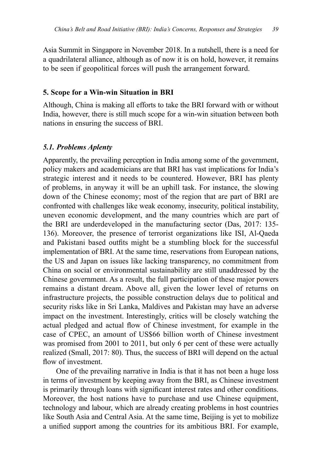Asia Summit in Singapore in November 2018. In a nutshell, there is a need for a quadrilateral alliance, although as of now it is on hold, however, it remains to be seen if geopolitical forces will push the arrangement forward.

#### **5. Scope for a Win-win Situation in BRI**

Although, China is making all efforts to take the BRI forward with or without India, however, there is still much scope for a win-win situation between both nations in ensuring the success of BRI.

#### *5.1. Problems Aplenty*

Apparently, the prevailing perception in India among some of the government, policy makers and academicians are that BRI has vast implications for India's strategic interest and it needs to be countered. However, BRI has plenty of problems, in anyway it will be an uphill task. For instance, the slowing down of the Chinese economy; most of the region that are part of BRI are confronted with challenges like weak economy, insecurity, political instability, uneven economic development, and the many countries which are part of the BRI are underdeveloped in the manufacturing sector (Das, 2017: 135- 136). Moreover, the presence of terrorist organizations like ISI, Al-Qaeda and Pakistani based outfits might be a stumbling block for the successful implementation of BRI. At the same time, reservations from European nations, the US and Japan on issues like lacking transparency, no commitment from China on social or environmental sustainability are still unaddressed by the Chinese government. As a result, the full participation of these major powers remains a distant dream. Above all, given the lower level of returns on infrastructure projects, the possible construction delays due to political and security risks like in Sri Lanka, Maldives and Pakistan may have an adverse impact on the investment. Interestingly, critics will be closely watching the actual pledged and actual flow of Chinese investment, for example in the case of CPEC, an amount of US\$66 billion worth of Chinese investment was promised from 2001 to 2011, but only 6 per cent of these were actually realized (Small, 2017: 80). Thus, the success of BRI will depend on the actual flow of investment.

One of the prevailing narrative in India is that it has not been a huge loss in terms of investment by keeping away from the BRI, as Chinese investment is primarily through loans with significant interest rates and other conditions. Moreover, the host nations have to purchase and use Chinese equipment, technology and labour, which are already creating problems in host countries like South Asia and Central Asia. At the same time, Beijing is yet to mobilize a unified support among the countries for its ambitious BRI. For example,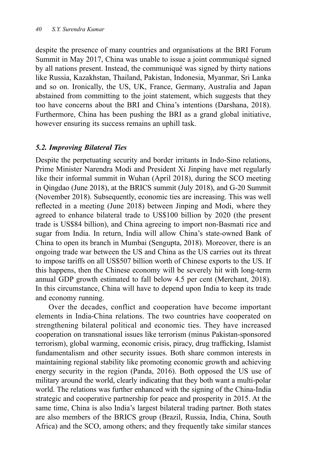despite the presence of many countries and organisations at the BRI Forum Summit in May 2017, China was unable to issue a joint communiqué signed by all nations present. Instead, the communiqué was signed by thirty nations like Russia, Kazakhstan, Thailand, Pakistan, Indonesia, Myanmar, Sri Lanka and so on. Ironically, the US, UK, France, Germany, Australia and Japan abstained from committing to the joint statement, which suggests that they too have concerns about the BRI and China's intentions (Darshana, 2018). Furthermore, China has been pushing the BRI as a grand global initiative, however ensuring its success remains an uphill task.

#### *5.2. Improving Bilateral Ties*

Despite the perpetuating security and border irritants in Indo-Sino relations, Prime Minister Narendra Modi and President Xi Jinping have met regularly like their informal summit in Wuhan (April 2018), during the SCO meeting in Qingdao (June 2018), at the BRICS summit (July 2018), and G-20 Summit (November 2018). Subsequently, economic ties are increasing. This was well reflected in a meeting (June 2018) between Jinping and Modi, where they agreed to enhance bilateral trade to US\$100 billion by 2020 (the present trade is US\$84 billion), and China agreeing to import non-Basmati rice and sugar from India. In return, India will allow China's state-owned Bank of China to open its branch in Mumbai (Sengupta, 2018). Moreover, there is an ongoing trade war between the US and China as the US carries out its threat to impose tariffs on all US\$507 billion worth of Chinese exports to the US. If this happens, then the Chinese economy will be severely hit with long-term annual GDP growth estimated to fall below 4.5 per cent (Merchant, 2018). In this circumstance, China will have to depend upon India to keep its trade and economy running.

Over the decades, conflict and cooperation have become important elements in India-China relations. The two countries have cooperated on strengthening bilateral political and economic ties. They have increased cooperation on transnational issues like terrorism (minus Pakistan-sponsored terrorism), global warming, economic crisis, piracy, drug trafficking, Islamist fundamentalism and other security issues. Both share common interests in maintaining regional stability like promoting economic growth and achieving energy security in the region (Panda, 2016). Both opposed the US use of military around the world, clearly indicating that they both want a multi-polar world. The relations was further enhanced with the signing of the China-India strategic and cooperative partnership for peace and prosperity in 2015. At the same time, China is also India's largest bilateral trading partner. Both states are also members of the BRICS group (Brazil, Russia, India, China, South Africa) and the SCO, among others; and they frequently take similar stances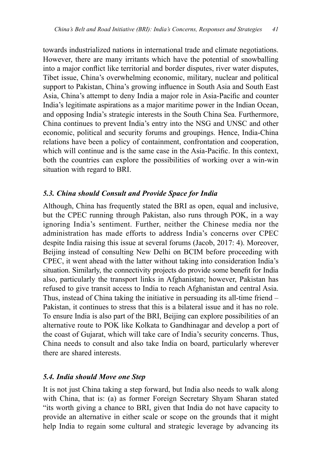towards industrialized nations in international trade and climate negotiations. However, there are many irritants which have the potential of snowballing into a major conflict like territorial and border disputes, river water disputes, Tibet issue, China's overwhelming economic, military, nuclear and political support to Pakistan, China's growing influence in South Asia and South East Asia, China's attempt to deny India a major role in Asia-Pacific and counter India's legitimate aspirations as a major maritime power in the Indian Ocean, and opposing India's strategic interests in the South China Sea. Furthermore, China continues to prevent India's entry into the NSG and UNSC and other economic, political and security forums and groupings. Hence, India-China relations have been a policy of containment, confrontation and cooperation, which will continue and is the same case in the Asia-Pacific. In this context, both the countries can explore the possibilities of working over a win-win situation with regard to BRI.

## *5.3. China should Consult and Provide Space for India*

Although, China has frequently stated the BRI as open, equal and inclusive, but the CPEC running through Pakistan, also runs through POK, in a way ignoring India's sentiment. Further, neither the Chinese media nor the administration has made efforts to address India's concerns over CPEC despite India raising this issue at several forums (Jacob, 2017: 4). Moreover, Beijing instead of consulting New Delhi on BCIM before proceeding with CPEC, it went ahead with the latter without taking into consideration India's situation. Similarly, the connectivity projects do provide some benefit for India also, particularly the transport links in Afghanistan; however, Pakistan has refused to give transit access to India to reach Afghanistan and central Asia. Thus, instead of China taking the initiative in persuading its all-time friend – Pakistan, it continues to stress that this is a bilateral issue and it has no role. To ensure India is also part of the BRI, Beijing can explore possibilities of an alternative route to POK like Kolkata to Gandhinagar and develop a port of the coast of Gujarat, which will take care of India's security concerns. Thus, China needs to consult and also take India on board, particularly wherever there are shared interests.

#### *5.4. India should Move one Step*

It is not just China taking a step forward, but India also needs to walk along with China, that is: (a) as former Foreign Secretary Shyam Sharan stated "its worth giving a chance to BRI, given that India do not have capacity to provide an alternative in either scale or scope on the grounds that it might help India to regain some cultural and strategic leverage by advancing its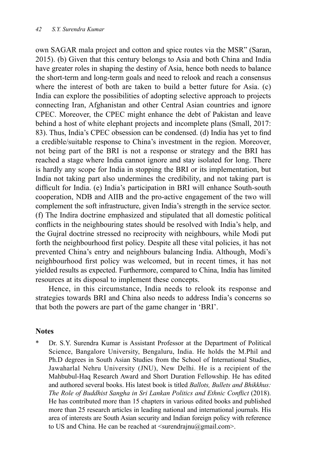own SAGAR mala project and cotton and spice routes via the MSR" (Saran, 2015). (b) Given that this century belongs to Asia and both China and India have greater roles in shaping the destiny of Asia, hence both needs to balance the short-term and long-term goals and need to relook and reach a consensus where the interest of both are taken to build a better future for Asia. (c) India can explore the possibilities of adopting selective approach to projects connecting Iran, Afghanistan and other Central Asian countries and ignore CPEC. Moreover, the CPEC might enhance the debt of Pakistan and leave behind a host of white elephant projects and incomplete plans (Small, 2017: 83). Thus, India's CPEC obsession can be condensed. (d) India has yet to find a credible/suitable response to China's investment in the region. Moreover, not being part of the BRI is not a response or strategy and the BRI has reached a stage where India cannot ignore and stay isolated for long. There is hardly any scope for India in stopping the BRI or its implementation, but India not taking part also undermines the credibility, and not taking part is difficult for India. (e) India's participation in BRI will enhance South-south cooperation, NDB and AIIB and the pro-active engagement of the two will complement the soft infrastructure, given India's strength in the service sector. (f) The Indira doctrine emphasized and stipulated that all domestic political conflicts in the neighbouring states should be resolved with India's help, and the Gujral doctrine stressed no reciprocity with neighbours, while Modi put forth the neighbourhood first policy. Despite all these vital policies, it has not prevented China's entry and neighbours balancing India. Although, Modi's neighbourhood first policy was welcomed, but in recent times, it has not yielded results as expected. Furthermore, compared to China, India has limited resources at its disposal to implement these concepts.

Hence, in this circumstance, India needs to relook its response and strategies towards BRI and China also needs to address India's concerns so that both the powers are part of the game changer in 'BRI'.

#### **Notes**

Dr. S.Y. Surendra Kumar is Assistant Professor at the Department of Political Science, Bangalore University, Bengaluru, India. He holds the M.Phil and Ph.D degrees in South Asian Studies from the School of International Studies, Jawaharlal Nehru University (JNU), New Delhi. He is a recipient of the Mahbubul-Haq Research Award and Short Duration Fellowship. He has edited and authored several books. His latest book is titled *Ballots, Bullets and Bhikkhus: The Role of Buddhist Sangha in Sri Lankan Politics and Ethnic Conflict* (2018). He has contributed more than 15 chapters in various edited books and published more than 25 research articles in leading national and international journals. His area of interests are South Asian security and Indian foreign policy with reference to US and China. He can be reached at  $\langle$ surendrajnu $\langle \omega \rangle$ gmail.com $>$ .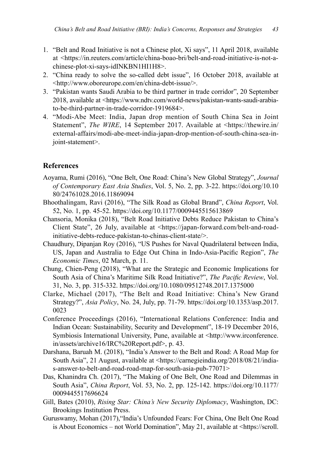- 1. "Belt and Road Initiative is not a Chinese plot, Xi says", 11 April 2018, available at <https://in.reuters.com/article/china-boao-bri/belt-and-road-initiative-is-not-achinese-plot-xi-says-idINKBN1HI1H8>.
- 2. "China ready to solve the so-called debt issue", 16 October 2018, available at <http://www.oboreurope.com/en/china-debt-issue/>.
- 3. "Pakistan wants Saudi Arabia to be third partner in trade corridor", 20 September 2018, available at <https://www.ndtv.com/world-news/pakistan-wants-saudi-arabiato-be-third-partner-in-trade-corridor-1919684>.
- 4. "Modi-Abe Meet: India, Japan drop mention of South China Sea in Joint Statement", *The WIRE*, 14 September 2017. Available at <https://thewire.in/ external-affairs/modi-abe-meet-india-japan-drop-mention-of-south-china-sea-injoint-statement>.

#### **References**

- Aoyama, Rumi (2016), "One Belt, One Road: China's New Global Strategy", *Journal of Contemporary East Asia Studies*, Vol. 5, No. 2, pp. 3-22. https://doi.org/10.10 80/24761028.2016.11869094
- Bhoothalingam, Ravi (2016), "The Silk Road as Global Brand", *China Report*, Vol. 52, No. 1, pp. 45-52. https://doi.org/10.1177/0009445515613869
- Chansoria, Monika (2018), "Belt Road Initiative Debts Reduce Pakistan to China's Client State", 26 July, available at <https://japan-forward.com/belt-and-roadinitiative-debts-reduce-pakistan-to-chinas-client-state/>.
- Chaudhury, Dipanjan Roy (2016), "US Pushes for Naval Quadrilateral between India, US, Japan and Australia to Edge Out China in Indo-Asia-Pacific Region", *The Economic Times*, 02 March, p. 11.
- Chung, Chien-Peng (2018), "What are the Strategic and Economic Implications for South Asia of China's Maritime Silk Road Initiative?", *The Pacific Review*, Vol. 31, No. 3, pp. 315-332. https://doi.org/10.1080/09512748.2017.1375000
- Clarke, Michael (2017), "The Belt and Road Initiative: China's New Grand Strategy?", *Asia Policy*, No. 24, July, pp. 71-79. https://doi.org/10.1353/asp.2017. 0023
- Conference Proceedings (2016), "International Relations Conference: India and Indian Ocean: Sustainability, Security and Development", 18-19 December 2016, Symbiosis International University, Pune, available at <http://www.irconference. in/assets/archive16/IRC%20Report.pdf>, p. 43.
- Darshana, Baruah M. (2018), "India's Answer to the Belt and Road: A Road Map for South Asia", 21 August, available at <https://carnegieindia.org/2018/08/21/indias-answer-to-belt-and-road-road-map-for-south-asia-pub-77071>
- Das, Khanindra Ch. (2017), "The Making of One Belt, One Road and Dilemmas in South Asia", *China Report*, Vol. 53, No. 2, pp. 125-142. https://doi.org/10.1177/ 0009445517696624
- Gill, Bates (2010), *Rising Star: China's New Security Diplomacy*, Washington, DC: Brookings Institution Press.
- Guruswamy, Mohan (2017),"India's Unfounded Fears: For China, One Belt One Road is About Economics – not World Domination", May 21, available at <https://scroll.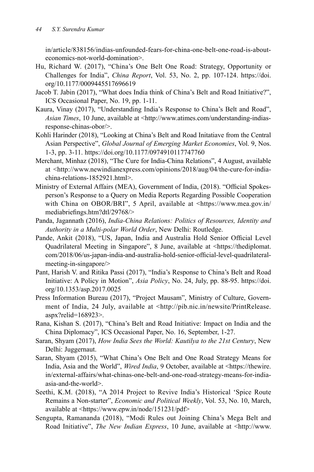in/article/838156/indias-unfounded-fears-for-china-one-belt-one-road-is-abouteconomics-not-world-domination>.

- Hu, Richard W. (2017), "China's One Belt One Road: Strategy, Opportunity or Challenges for India", *China Report*, Vol. 53, No. 2, pp. 107-124. https://doi. org/10.1177/0009445517696619
- Jacob T. Jabin (2017), "What does India think of China's Belt and Road Initiative?", ICS Occasional Paper, No. 19, pp. 1-11.
- Kaura, Vinay (2017), "Understanding India's Response to China's Belt and Road", *Asian Times*, 10 June, available at <http://www.atimes.com/understanding-indiasresponse-chinas-obor/>.
- Kohli Harinder (2018), "Looking at China's Belt and Road Initatiave from the Central Asian Perspective", *Global Journal of Emerging Market Economies*, Vol. 9, Nos. 1-3, pp. 3-11. https://doi.org/10.1177/0974910117747760
- Merchant, Minhaz (2018), "The Cure for India-China Relations", 4 August, available at <http://www.newindianexpress.com/opinions/2018/aug/04/the-cure-for-indiachina-relations-1852921.html>.
- Ministry of External Affairs (MEA), Government of India, (2018). "Official Spokesperson's Response to a Query on Media Reports Regarding Possible Cooperation with China on OBOR/BRI", 5 April, available at <https://www.mea.gov.in/ mediabriefings.htm?dtl/29768/>
- Panda, Jagannath (2016), *India-China Relations: Politics of Resources, Identity and Authority in a Multi-polar World Order*, New Delhi: Routledge.
- Pande, Ankit (2018), "US, Japan, India and Australia Hold Senior Official Level Quadrilateral Meeting in Singapore", 8 June, available at <https://thediplomat. com/2018/06/us-japan-india-and-australia-hold-senior-official-level-quadrilateralmeeting-in-singapore/>
- Pant, Harish V. and Ritika Passi (2017), "India's Response to China's Belt and Road Initiative: A Policy in Motion", *Asia Policy*, No. 24, July, pp. 88-95. https://doi. org/10.1353/asp.2017.0025
- Press Information Bureau (2017), "Project Mausam", Ministry of Culture, Government of India, 24 July, available at <http://pib.nic.in/newsite/PrintRelease. aspx?relid=168923>.
- Rana, Kishan S. (2017), "China's Belt and Road Initiative: Impact on India and the China Diplomacy", ICS Occasional Paper, No. 16, September, 1-27.
- Saran, Shyam (2017), *How India Sees the World: Kautilya to the 21st Century*, New Delhi: Juggernaut.
- Saran, Shyam (2015), "What China's One Belt and One Road Strategy Means for India, Asia and the World", *Wired India*, 9 October, available at <https://thewire. in/external-affairs/what-chinas-one-belt-and-one-road-strategy-means-for-indiaasia-and-the-world>.
- Seethi, K.M. (2018), "A 2014 Project to Revive India's Historical 'Spice Route Remains a Non-starter", *Economic and Political Weekly*, Vol. 53, No. 10, March, available at <https://www.epw.in/node/151231/pdf>
- Sengupta, Ramananda (2018), "Modi Rules out Joining China's Mega Belt and Road Initiative", *The New Indian Express*, 10 June, available at <http://www.